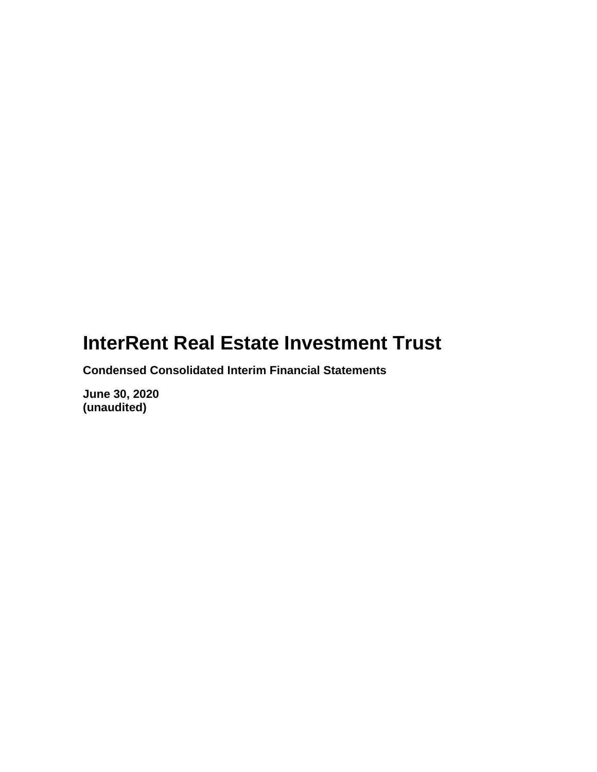**Condensed Consolidated Interim Financial Statements**

**June 30, 2020 (unaudited)**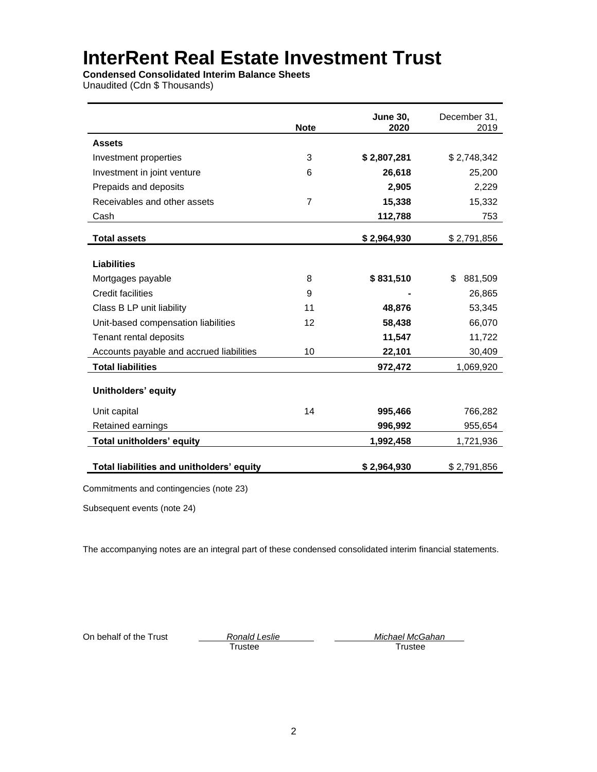**Condensed Consolidated Interim Balance Sheets**

Unaudited (Cdn \$ Thousands)

|                                           | <b>Note</b> | <b>June 30,</b><br>2020 | December 31,<br>2019 |
|-------------------------------------------|-------------|-------------------------|----------------------|
| <b>Assets</b>                             |             |                         |                      |
| Investment properties                     | 3           | \$2,807,281             | \$2,748,342          |
| Investment in joint venture               | 6           | 26,618                  | 25,200               |
| Prepaids and deposits                     |             | 2,905                   | 2,229                |
| Receivables and other assets              | 7           | 15,338                  | 15,332               |
| Cash                                      |             | 112,788                 | 753                  |
| <b>Total assets</b>                       |             | \$2,964,930             | \$2,791,856          |
| <b>Liabilities</b>                        |             |                         |                      |
| Mortgages payable                         | 8           | \$831,510               | \$<br>881,509        |
| Credit facilities                         | 9           |                         | 26,865               |
| Class B LP unit liability                 | 11          | 48,876                  | 53,345               |
| Unit-based compensation liabilities       | 12          | 58,438                  | 66,070               |
| Tenant rental deposits                    |             | 11,547                  | 11,722               |
| Accounts payable and accrued liabilities  | 10          | 22,101                  | 30,409               |
| <b>Total liabilities</b>                  |             | 972,472                 | 1,069,920            |
| Unitholders' equity                       |             |                         |                      |
| Unit capital                              | 14          | 995,466                 | 766,282              |
| Retained earnings                         |             | 996,992                 | 955,654              |
| Total unitholders' equity                 |             | 1,992,458               | 1,721,936            |
| Total liabilities and unitholders' equity |             | \$2,964,930             | \$2,791,856          |

Subsequent events (note 24)

The accompanying notes are an integral part of these condensed consolidated interim financial statements.

Trustee

On behalf of the Trust *Ronald Leslie Ronald Leslie Ronald Leslie Ronald Leslie Michael McGahan Ronald Leslie Ronald Leslie Ronald Leslie Ronald Leslie Ronald Leslie Ronald Leslie*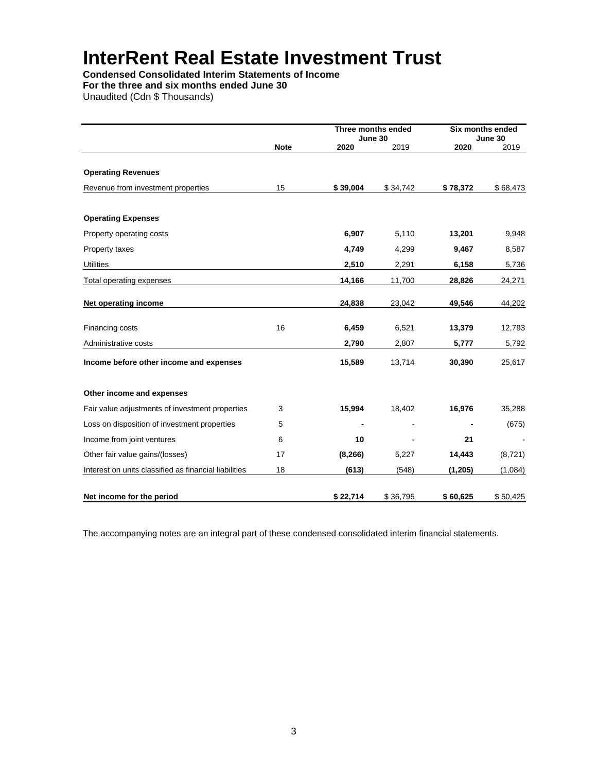**Condensed Consolidated Interim Statements of Income**

**For the three and six months ended June 30**

Unaudited (Cdn \$ Thousands)

|                                                       |             | Three months ended<br>June 30 |          |          | <b>Six months ended</b><br>June 30 |
|-------------------------------------------------------|-------------|-------------------------------|----------|----------|------------------------------------|
|                                                       | <b>Note</b> | 2020                          | 2019     | 2020     | 2019                               |
| <b>Operating Revenues</b>                             |             |                               |          |          |                                    |
| Revenue from investment properties                    | 15          | \$39,004                      | \$34,742 | \$78,372 | \$68,473                           |
| <b>Operating Expenses</b>                             |             |                               |          |          |                                    |
| Property operating costs                              |             | 6,907                         | 5,110    | 13,201   | 9,948                              |
| Property taxes                                        |             | 4,749                         | 4,299    | 9,467    | 8,587                              |
| <b>Utilities</b>                                      |             | 2,510                         | 2,291    | 6,158    | 5,736                              |
| Total operating expenses                              |             | 14,166                        | 11,700   | 28,826   | 24,271                             |
| Net operating income                                  |             | 24,838                        | 23,042   | 49,546   | 44,202                             |
| Financing costs                                       | 16          | 6,459                         | 6,521    | 13,379   | 12,793                             |
| Administrative costs                                  |             | 2,790                         | 2,807    | 5,777    | 5,792                              |
| Income before other income and expenses               |             | 15,589                        | 13,714   | 30,390   | 25,617                             |
| Other income and expenses                             |             |                               |          |          |                                    |
| Fair value adjustments of investment properties       | 3           | 15,994                        | 18,402   | 16,976   | 35,288                             |
| Loss on disposition of investment properties          | 5           |                               |          |          | (675)                              |
| Income from joint ventures                            | 6           | 10                            |          | 21       |                                    |
| Other fair value gains/(losses)                       | 17          | (8, 266)                      | 5,227    | 14,443   | (8,721)                            |
| Interest on units classified as financial liabilities | 18          | (613)                         | (548)    | (1, 205) | (1,084)                            |
| Net income for the period                             |             | \$22,714                      | \$36,795 | \$60,625 | \$50,425                           |

The accompanying notes are an integral part of these condensed consolidated interim financial statements.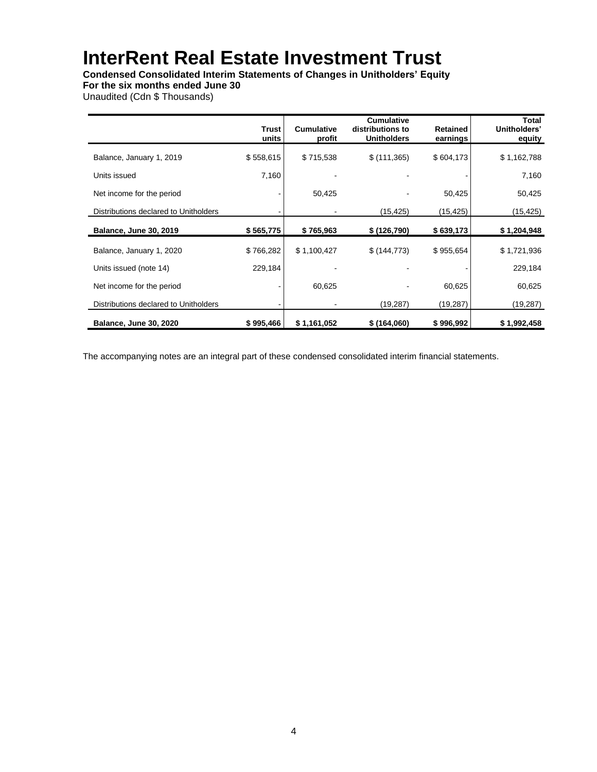**Condensed Consolidated Interim Statements of Changes in Unitholders' Equity**

**For the six months ended June 30**

Unaudited (Cdn \$ Thousands)

|                                       | Trust<br>units | <b>Cumulative</b><br>profit | <b>Cumulative</b><br>distributions to<br><b>Unitholders</b> | <b>Retained</b><br>earnings | Total<br>Unitholders'<br>equity |
|---------------------------------------|----------------|-----------------------------|-------------------------------------------------------------|-----------------------------|---------------------------------|
| Balance, January 1, 2019              | \$558,615      | \$715,538                   | \$(111,365)                                                 | \$604,173                   | \$1,162,788                     |
| Units issued                          | 7,160          |                             |                                                             |                             | 7,160                           |
| Net income for the period             |                | 50,425                      |                                                             | 50,425                      | 50,425                          |
| Distributions declared to Unitholders |                |                             | (15, 425)                                                   | (15, 425)                   | (15, 425)                       |
| <b>Balance, June 30, 2019</b>         | \$565,775      | \$765,963                   | \$(126,790)                                                 | \$639,173                   | \$1,204,948                     |
| Balance, January 1, 2020              | \$766,282      | \$1,100,427                 | \$ (144, 773)                                               | \$955,654                   | \$1,721,936                     |
| Units issued (note 14)                | 229,184        |                             |                                                             |                             | 229,184                         |
| Net income for the period             |                | 60,625                      |                                                             | 60,625                      | 60,625                          |
| Distributions declared to Unitholders |                |                             | (19, 287)                                                   | (19, 287)                   | (19, 287)                       |
| <b>Balance, June 30, 2020</b>         | \$995,466      | \$1,161,052                 | \$(164,060)                                                 | \$996,992                   | \$1,992,458                     |

The accompanying notes are an integral part of these condensed consolidated interim financial statements.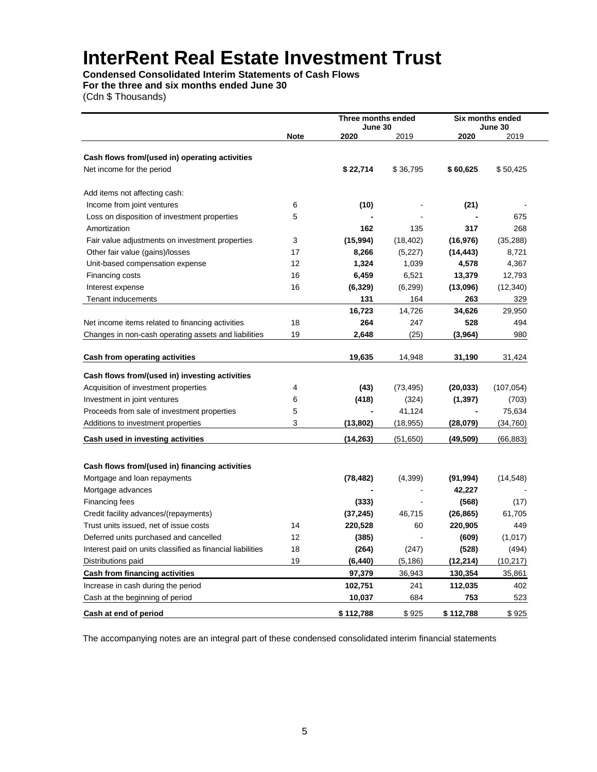**Condensed Consolidated Interim Statements of Cash Flows For the three and six months ended June 30**

(Cdn \$ Thousands)

|                                                            |             | Three months ended |           | Six months ended |                 |
|------------------------------------------------------------|-------------|--------------------|-----------|------------------|-----------------|
|                                                            | <b>Note</b> | June 30<br>2020    | 2019      | 2020             | June 30<br>2019 |
|                                                            |             |                    |           |                  |                 |
| Cash flows from/(used in) operating activities             |             |                    |           |                  |                 |
| Net income for the period                                  |             | \$22,714           | \$36,795  | \$60,625         | \$50,425        |
|                                                            |             |                    |           |                  |                 |
| Add items not affecting cash:                              |             |                    |           |                  |                 |
| Income from joint ventures                                 | 6           | (10)               |           | (21)             |                 |
| Loss on disposition of investment properties               | 5           |                    |           |                  | 675             |
| Amortization                                               |             | 162                | 135       | 317              | 268             |
| Fair value adjustments on investment properties            | 3           | (15, 994)          | (18, 402) | (16, 976)        | (35, 288)       |
| Other fair value (gains)/losses                            | 17          | 8,266              | (5,227)   | (14, 443)        | 8,721           |
| Unit-based compensation expense                            | 12          | 1,324              | 1,039     | 4,578            | 4,367           |
| Financing costs                                            | 16          | 6,459              | 6,521     | 13,379           | 12,793          |
| Interest expense                                           | 16          | (6, 329)           | (6, 299)  | (13,096)         | (12, 340)       |
| Tenant inducements                                         |             | 131                | 164       | 263              | 329             |
|                                                            |             | 16,723             | 14,726    | 34,626           | 29,950          |
| Net income items related to financing activities           | 18          | 264                | 247       | 528              | 494             |
| Changes in non-cash operating assets and liabilities       | 19          | 2,648              | (25)      | (3,964)          | 980             |
|                                                            |             |                    |           |                  |                 |
| Cash from operating activities                             |             | 19,635             | 14,948    | 31,190           | 31,424          |
| Cash flows from/(used in) investing activities             |             |                    |           |                  |                 |
| Acquisition of investment properties                       | 4           | (43)               | (73, 495) | (20, 033)        | (107, 054)      |
| Investment in joint ventures                               | 6           | (418)              | (324)     | (1, 397)         | (703)           |
| Proceeds from sale of investment properties                | 5           |                    | 41,124    |                  | 75,634          |
| Additions to investment properties                         | 3           | (13,802)           | (18, 955) | (28,079)         | (34, 760)       |
|                                                            |             |                    |           |                  |                 |
| Cash used in investing activities                          |             | (14, 263)          | (51,650)  | (49, 509)        | (66, 883)       |
|                                                            |             |                    |           |                  |                 |
| Cash flows from/(used in) financing activities             |             |                    |           |                  |                 |
| Mortgage and loan repayments                               |             | (78, 482)          | (4,399)   | (91, 994)        | (14, 548)       |
| Mortgage advances                                          |             |                    |           | 42,227           |                 |
| Financing fees                                             |             | (333)              |           | (568)            | (17)            |
| Credit facility advances/(repayments)                      |             | (37, 245)          | 46,715    | (26, 865)        | 61,705          |
| Trust units issued, net of issue costs                     | 14          | 220,528            | 60        | 220,905          | 449             |
| Deferred units purchased and cancelled                     | 12          | (385)              |           | (609)            | (1,017)         |
| Interest paid on units classified as financial liabilities | 18          | (264)              | (247)     | (528)            | (494)           |
| Distributions paid                                         | 19          | (6, 440)           | (5, 186)  | (12, 214)        | (10, 217)       |
| <b>Cash from financing activities</b>                      |             | 97,379             | 36,943    | 130,354          | 35,861          |
| Increase in cash during the period                         |             | 102,751            | 241       | 112,035          | 402             |
| Cash at the beginning of period                            |             | 10,037             | 684       | 753              | 523             |
| Cash at end of period                                      |             | \$112,788          | \$925     | \$112.788        | \$925           |

The accompanying notes are an integral part of these condensed consolidated interim financial statements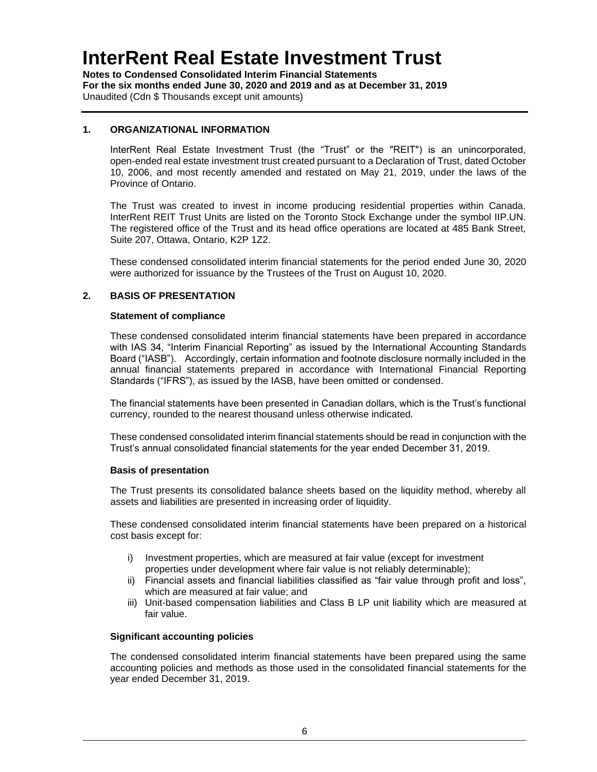**Notes to Condensed Consolidated Interim Financial Statements For the six months ended June 30, 2020 and 2019 and as at December 31, 2019** Unaudited (Cdn \$ Thousands except unit amounts)

#### **1. ORGANIZATIONAL INFORMATION**

InterRent Real Estate Investment Trust (the "Trust" or the "REIT") is an unincorporated, open-ended real estate investment trust created pursuant to a Declaration of Trust, dated October 10, 2006, and most recently amended and restated on May 21, 2019, under the laws of the Province of Ontario.

The Trust was created to invest in income producing residential properties within Canada. InterRent REIT Trust Units are listed on the Toronto Stock Exchange under the symbol IIP.UN. The registered office of the Trust and its head office operations are located at 485 Bank Street, Suite 207, Ottawa, Ontario, K2P 1Z2.

These condensed consolidated interim financial statements for the period ended June 30, 2020 were authorized for issuance by the Trustees of the Trust on August 10, 2020.

#### **2. BASIS OF PRESENTATION**

#### **Statement of compliance**

These condensed consolidated interim financial statements have been prepared in accordance with IAS 34, "Interim Financial Reporting" as issued by the International Accounting Standards Board ("IASB"). Accordingly, certain information and footnote disclosure normally included in the annual financial statements prepared in accordance with International Financial Reporting Standards ("IFRS"), as issued by the IASB, have been omitted or condensed.

The financial statements have been presented in Canadian dollars, which is the Trust's functional currency, rounded to the nearest thousand unless otherwise indicated.

These condensed consolidated interim financial statements should be read in conjunction with the Trust's annual consolidated financial statements for the year ended December 31, 2019.

#### **Basis of presentation**

The Trust presents its consolidated balance sheets based on the liquidity method, whereby all assets and liabilities are presented in increasing order of liquidity.

These condensed consolidated interim financial statements have been prepared on a historical cost basis except for:

- i) Investment properties, which are measured at fair value (except for investment properties under development where fair value is not reliably determinable);
- ii) Financial assets and financial liabilities classified as "fair value through profit and loss", which are measured at fair value; and
- iii) Unit-based compensation liabilities and Class B LP unit liability which are measured at fair value.

#### **Significant accounting policies**

The condensed consolidated interim financial statements have been prepared using the same accounting policies and methods as those used in the consolidated financial statements for the year ended December 31, 2019.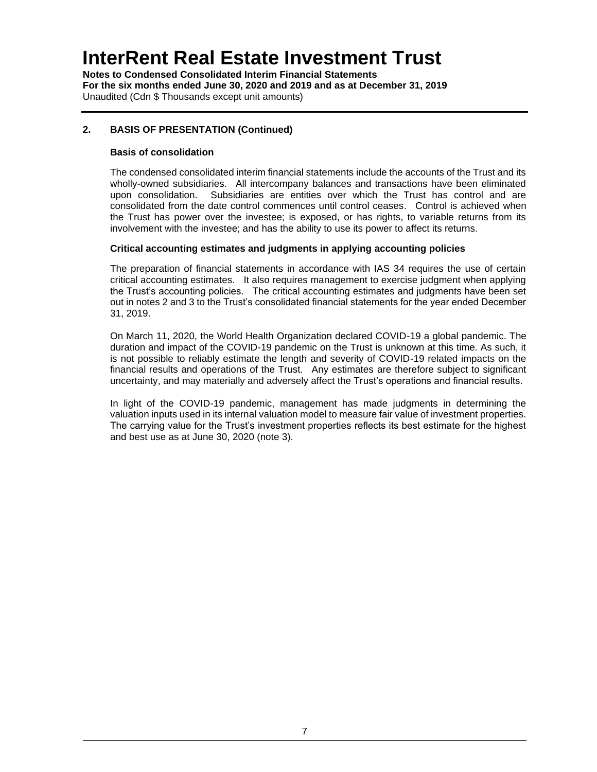**Notes to Condensed Consolidated Interim Financial Statements For the six months ended June 30, 2020 and 2019 and as at December 31, 2019** Unaudited (Cdn \$ Thousands except unit amounts)

### **2. BASIS OF PRESENTATION (Continued)**

### **Basis of consolidation**

The condensed consolidated interim financial statements include the accounts of the Trust and its wholly-owned subsidiaries. All intercompany balances and transactions have been eliminated upon consolidation. Subsidiaries are entities over which the Trust has control and are consolidated from the date control commences until control ceases. Control is achieved when the Trust has power over the investee; is exposed, or has rights, to variable returns from its involvement with the investee; and has the ability to use its power to affect its returns.

#### **Critical accounting estimates and judgments in applying accounting policies**

The preparation of financial statements in accordance with IAS 34 requires the use of certain critical accounting estimates. It also requires management to exercise judgment when applying the Trust's accounting policies. The critical accounting estimates and judgments have been set out in notes 2 and 3 to the Trust's consolidated financial statements for the year ended December 31, 2019.

On March 11, 2020, the World Health Organization declared COVID-19 a global pandemic. The duration and impact of the COVID-19 pandemic on the Trust is unknown at this time. As such, it is not possible to reliably estimate the length and severity of COVID-19 related impacts on the financial results and operations of the Trust. Any estimates are therefore subject to significant uncertainty, and may materially and adversely affect the Trust's operations and financial results.

In light of the COVID-19 pandemic, management has made judgments in determining the valuation inputs used in its internal valuation model to measure fair value of investment properties. The carrying value for the Trust's investment properties reflects its best estimate for the highest and best use as at June 30, 2020 (note 3).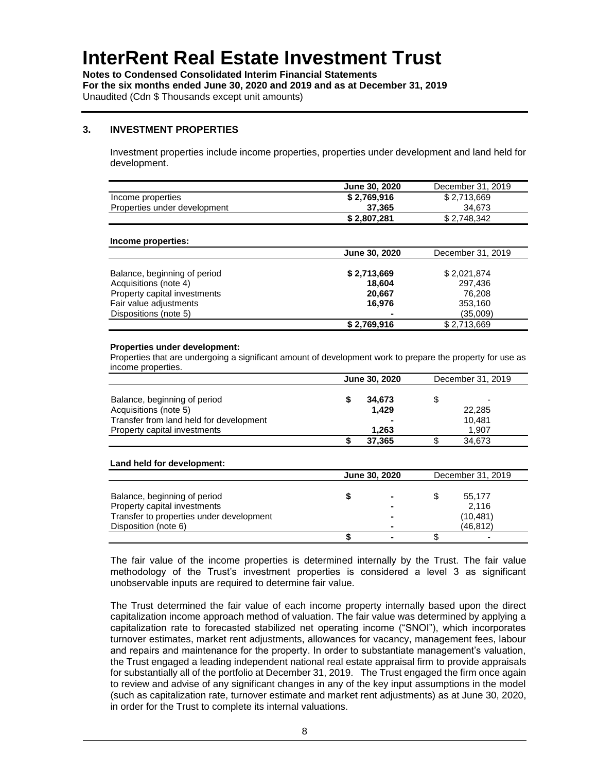**Notes to Condensed Consolidated Interim Financial Statements For the six months ended June 30, 2020 and 2019 and as at December 31, 2019** Unaudited (Cdn \$ Thousands except unit amounts)

#### **3. INVESTMENT PROPERTIES**

Investment properties include income properties, properties under development and land held for development.

|                              | June 30, 2020 | December 31, 2019 |
|------------------------------|---------------|-------------------|
| Income properties            | \$2.769.916   | \$2.713.669       |
| Properties under development | 37,365        | 34.673            |
|                              | \$2,807,281   | \$2,748,342       |

#### **Income properties:**

|                              | June 30, 2020 | December 31, 2019 |
|------------------------------|---------------|-------------------|
|                              |               |                   |
| Balance, beginning of period | \$2,713,669   | \$2,021,874       |
| Acquisitions (note 4)        | 18.604        | 297,436           |
| Property capital investments | 20,667        | 76.208            |
| Fair value adjustments       | 16.976        | 353,160           |
| Dispositions (note 5)        | ۰             | (35,009)          |
|                              | \$2,769,916   | \$2,713,669       |

#### **Properties under development:**

Properties that are undergoing a significant amount of development work to prepare the property for use as income properties.

|                                         | <b>June 30, 2020</b> |        | December 31, 2019 |        |  |
|-----------------------------------------|----------------------|--------|-------------------|--------|--|
|                                         |                      |        |                   |        |  |
| Balance, beginning of period            |                      | 34.673 |                   |        |  |
| Acquisitions (note 5)                   |                      | 1.429  |                   | 22,285 |  |
| Transfer from land held for development |                      |        |                   | 10.481 |  |
| Property capital investments            |                      | 1.263  |                   | 1.907  |  |
|                                         |                      | 37,365 |                   | 34,673 |  |

#### **Land held for development:**

|                                          | June 30, 2020            | December 31, 2019 |           |  |
|------------------------------------------|--------------------------|-------------------|-----------|--|
|                                          |                          |                   |           |  |
| Balance, beginning of period             | $\blacksquare$           |                   | 55.177    |  |
| Property capital investments             | $\blacksquare$           |                   | 2.116     |  |
| Transfer to properties under development | $\blacksquare$           |                   | (10, 481) |  |
| Disposition (note 6)                     | $\blacksquare$           |                   | (46, 812) |  |
|                                          | $\overline{\phantom{0}}$ |                   |           |  |

The fair value of the income properties is determined internally by the Trust. The fair value methodology of the Trust's investment properties is considered a level 3 as significant unobservable inputs are required to determine fair value.

The Trust determined the fair value of each income property internally based upon the direct capitalization income approach method of valuation. The fair value was determined by applying a capitalization rate to forecasted stabilized net operating income ("SNOI"), which incorporates turnover estimates, market rent adjustments, allowances for vacancy, management fees, labour and repairs and maintenance for the property. In order to substantiate management's valuation, the Trust engaged a leading independent national real estate appraisal firm to provide appraisals for substantially all of the portfolio at December 31, 2019. The Trust engaged the firm once again to review and advise of any significant changes in any of the key input assumptions in the model (such as capitalization rate, turnover estimate and market rent adjustments) as at June 30, 2020, in order for the Trust to complete its internal valuations.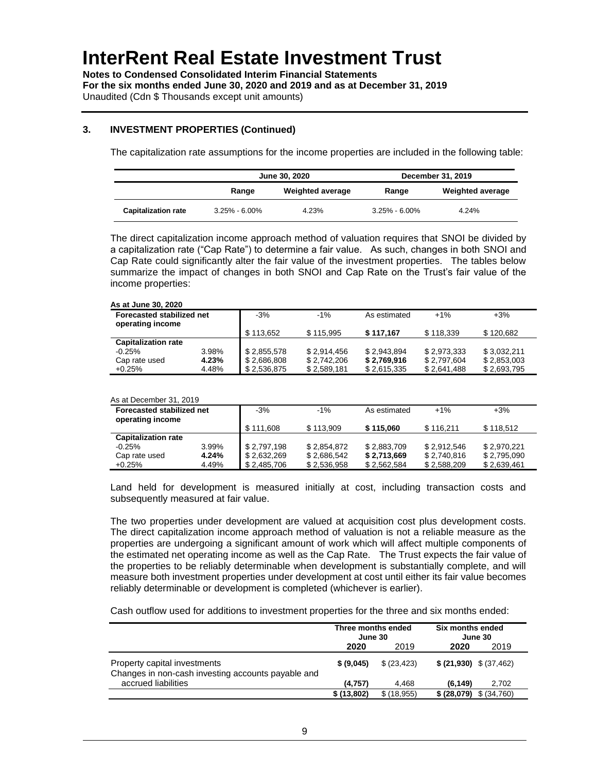**Notes to Condensed Consolidated Interim Financial Statements For the six months ended June 30, 2020 and 2019 and as at December 31, 2019** Unaudited (Cdn \$ Thousands except unit amounts)

#### **3. INVESTMENT PROPERTIES (Continued)**

The capitalization rate assumptions for the income properties are included in the following table:

|                            | June 30, 2020     |                  | December 31, 2019 |                         |  |
|----------------------------|-------------------|------------------|-------------------|-------------------------|--|
|                            | Range             | Weighted average | Range             | <b>Weighted average</b> |  |
| <b>Capitalization rate</b> | $3.25\% - 6.00\%$ | 4.23%            | $3.25\% - 6.00\%$ | 4.24%                   |  |

The direct capitalization income approach method of valuation requires that SNOI be divided by a capitalization rate ("Cap Rate") to determine a fair value. As such, changes in both SNOI and Cap Rate could significantly alter the fair value of the investment properties. The tables below summarize the impact of changes in both SNOI and Cap Rate on the Trust's fair value of the income properties:

#### **As at June 30, 2020**

| <b>Forecasted stabilized net</b><br>operating income |       | $-3%$       | $-1\%$      | As estimated | $+1%$       | $+3%$       |  |
|------------------------------------------------------|-------|-------------|-------------|--------------|-------------|-------------|--|
|                                                      |       | \$113.652   | \$115.995   | \$117.167    | \$118.339   | \$120.682   |  |
| <b>Capitalization rate</b>                           |       |             |             |              |             |             |  |
| $-0.25%$                                             | 3.98% | \$2,855,578 | \$2.914.456 | \$2.943.894  | \$2,973,333 | \$3.032.211 |  |
| Cap rate used                                        | 4.23% | \$2,686,808 | \$2.742.206 | \$2,769,916  | \$2.797.604 | \$2,853,003 |  |
| $+0.25%$                                             | 4.48% | \$2.536.875 | \$2.589.181 | \$2,615,335  | \$2,641,488 | \$2,693,795 |  |

#### As at December 31, 2019

| Forecasted stabilized net<br>operating income |       | $-3%$       | $-1\%$      | As estimated | $+1%$       | $+3%$       |
|-----------------------------------------------|-------|-------------|-------------|--------------|-------------|-------------|
|                                               |       | \$111.608   | \$113.909   | \$115,060    | \$116.211   | \$118.512   |
| <b>Capitalization rate</b>                    |       |             |             |              |             |             |
| $-0.25%$                                      | 3.99% | \$2.797.198 | \$2,854,872 | \$2,883,709  | \$2,912,546 | \$2,970,221 |
| Cap rate used                                 | 4.24% | \$2,632,269 | \$2,686,542 | \$2,713,669  | \$2,740,816 | \$2,795,090 |
| $+0.25%$                                      | 4.49% | \$2,485,706 | \$2,536,958 | \$2,562,584  | \$2,588,209 | \$2,639,461 |

Land held for development is measured initially at cost, including transaction costs and subsequently measured at fair value.

The two properties under development are valued at acquisition cost plus development costs. The direct capitalization income approach method of valuation is not a reliable measure as the properties are undergoing a significant amount of work which will affect multiple components of the estimated net operating income as well as the Cap Rate. The Trust expects the fair value of the properties to be reliably determinable when development is substantially complete, and will measure both investment properties under development at cost until either its fair value becomes reliably determinable or development is completed (whichever is earlier).

Cash outflow used for additions to investment properties for the three and six months ended:

|                                                                                    | Three months ended<br>June 30 |              | Six months ended<br>June 30 |  |
|------------------------------------------------------------------------------------|-------------------------------|--------------|-----------------------------|--|
|                                                                                    | 2020                          | 2019         | 2019<br>2020                |  |
| Property capital investments<br>Changes in non-cash investing accounts payable and | \$ (9,045)                    | \$ (23, 423) | $$ (21,930) \ $ (37,462)$   |  |
| accrued liabilities                                                                | (4.757)                       | 4.468        | (6, 149)<br>2.702           |  |
|                                                                                    | \$(13,802)                    | \$(18, 955)  | \$ (28,079)<br>\$ (34,760)  |  |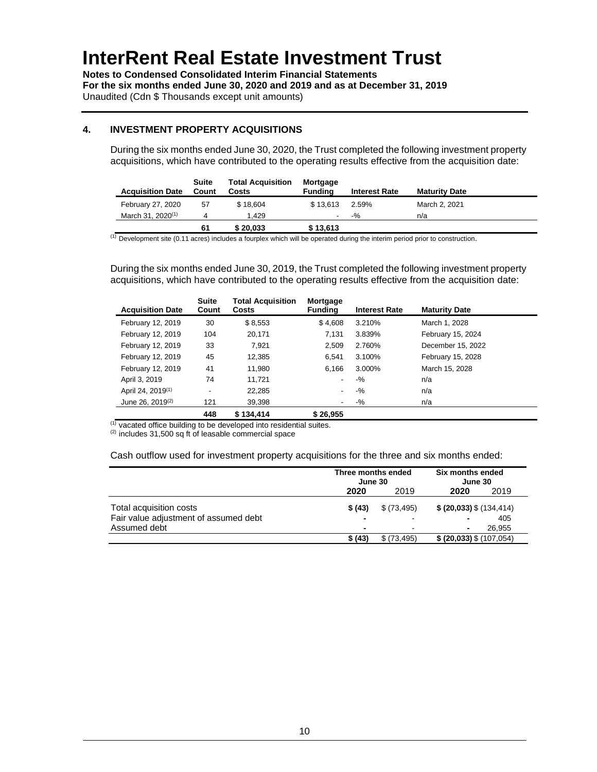**Notes to Condensed Consolidated Interim Financial Statements For the six months ended June 30, 2020 and 2019 and as at December 31, 2019** Unaudited (Cdn \$ Thousands except unit amounts)

### **4. INVESTMENT PROPERTY ACQUISITIONS**

During the six months ended June 30, 2020, the Trust completed the following investment property acquisitions, which have contributed to the operating results effective from the acquisition date:

| <b>Acquisition Date</b>       | Suite<br>Count | <b>Total Acquisition</b><br>Costs | Mortgage<br>Fundina      | <b>Interest Rate</b> | <b>Maturity Date</b> |
|-------------------------------|----------------|-----------------------------------|--------------------------|----------------------|----------------------|
| February 27, 2020             | 57             | \$18.604                          | \$13.613                 | 2.59%                | March 2, 2021        |
| March 31, 2020 <sup>(1)</sup> |                | 1.429                             | $\overline{\phantom{a}}$ | $-9/20$              | n/a                  |
|                               | 61             | \$20.033                          | \$13,613                 |                      |                      |

 $<sup>(1)</sup>$  Development site (0.11 acres) includes a fourplex which will be operated during the interim period prior to construction.</sup>

During the six months ended June 30, 2019, the Trust completed the following investment property acquisitions, which have contributed to the operating results effective from the acquisition date:

| <b>Acquisition Date</b>       | <b>Suite</b><br>Count    | <b>Total Acquisition</b><br>Costs | Mortgage<br><b>Funding</b> | <b>Interest Rate</b> | <b>Maturity Date</b> |
|-------------------------------|--------------------------|-----------------------------------|----------------------------|----------------------|----------------------|
| February 12, 2019             | 30                       | \$8,553                           | \$4,608                    | 3.210%               | March 1, 2028        |
| February 12, 2019             | 104                      | 20.171                            | 7,131                      | 3.839%               | February 15, 2024    |
| February 12, 2019             | 33                       | 7,921                             | 2,509                      | 2.760%               | December 15, 2022    |
| February 12, 2019             | 45                       | 12,385                            | 6.541                      | 3.100%               | February 15, 2028    |
| February 12, 2019             | 41                       | 11.980                            | 6.166                      | 3.000%               | March 15, 2028       |
| April 3, 2019                 | 74                       | 11.721                            |                            | $-9/6$               | n/a                  |
| April 24, 2019 <sup>(1)</sup> | $\overline{\phantom{a}}$ | 22.285                            |                            | $-9/6$               | n/a                  |
| June 26, 2019 <sup>(2)</sup>  | 121                      | 39.398                            |                            | $-9/6$               | n/a                  |
|                               | 448                      | \$134.414                         | \$26.955                   |                      |                      |

 $(1)$  vacated office building to be developed into residential suites.

 $(2)$  includes 31,500 sq ft of leasable commercial space

Cash outflow used for investment property acquisitions for the three and six months ended:

|                                       | Three months ended<br>June 30 |                          | Six months ended<br>June 30 |  |
|---------------------------------------|-------------------------------|--------------------------|-----------------------------|--|
|                                       | 2020                          | 2019                     | 2020<br>2019                |  |
| Total acquisition costs               | \$(43)                        | \$ (73, 495)             | $$$ (20,033) $$$ (134,414)  |  |
| Fair value adjustment of assumed debt |                               | $\overline{\phantom{0}}$ | 405                         |  |
| Assumed debt                          | $\blacksquare$                |                          | 26.955<br>۰                 |  |
|                                       | \$ (43)                       | \$ (73, 495)             | $$$ (20,033) $$$ (107,054)  |  |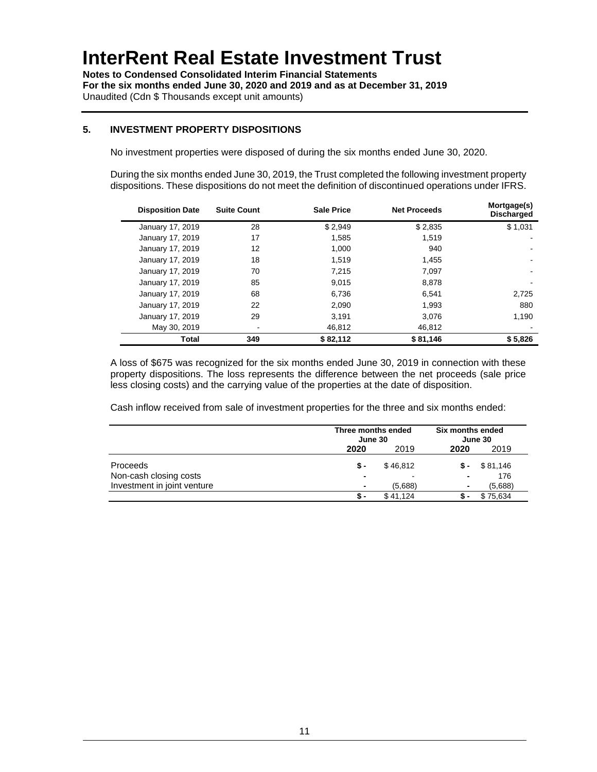**Notes to Condensed Consolidated Interim Financial Statements For the six months ended June 30, 2020 and 2019 and as at December 31, 2019** Unaudited (Cdn \$ Thousands except unit amounts)

### **5. INVESTMENT PROPERTY DISPOSITIONS**

No investment properties were disposed of during the six months ended June 30, 2020.

During the six months ended June 30, 2019, the Trust completed the following investment property dispositions. These dispositions do not meet the definition of discontinued operations under IFRS.

| <b>Disposition Date</b> | <b>Suite Count</b> | <b>Sale Price</b> | <b>Net Proceeds</b> | Mortgage(s)<br><b>Discharged</b> |
|-------------------------|--------------------|-------------------|---------------------|----------------------------------|
| January 17, 2019        | 28                 | \$2,949           | \$2,835             | \$1,031                          |
| January 17, 2019        | 17                 | 1.585             | 1.519               |                                  |
| January 17, 2019        | 12                 | 1.000             | 940                 |                                  |
| January 17, 2019        | 18                 | 1.519             | 1.455               |                                  |
| January 17, 2019        | 70                 | 7.215             | 7,097               |                                  |
| January 17, 2019        | 85                 | 9.015             | 8.878               |                                  |
| January 17, 2019        | 68                 | 6,736             | 6.541               | 2,725                            |
| January 17, 2019        | 22                 | 2.090             | 1.993               | 880                              |
| January 17, 2019        | 29                 | 3.191             | 3.076               | 1,190                            |
| May 30, 2019            |                    | 46,812            | 46,812              |                                  |
| Total                   | 349                | \$82,112          | \$81,146            | \$5,826                          |

A loss of \$675 was recognized for the six months ended June 30, 2019 in connection with these property dispositions. The loss represents the difference between the net proceeds (sale price less closing costs) and the carrying value of the properties at the date of disposition.

Cash inflow received from sale of investment properties for the three and six months ended:

|                             |                | Three months ended<br>June 30 |      | Six months ended<br>June 30 |  |
|-----------------------------|----------------|-------------------------------|------|-----------------------------|--|
|                             | 2020           | 2019                          | 2020 | 2019                        |  |
| Proceeds                    | \$ -           | \$46.812                      | \$-  | \$81,146                    |  |
| Non-cash closing costs      | -              | -                             | ۰    | 176                         |  |
| Investment in joint venture | $\blacksquare$ | (5,688)                       | ۰    | (5,688)                     |  |
|                             | S              | \$41.124                      |      | \$75,634                    |  |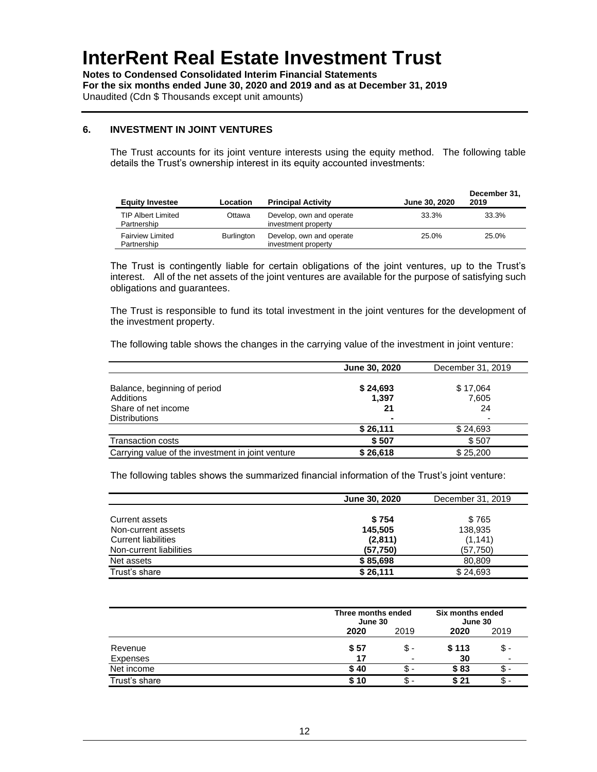**Notes to Condensed Consolidated Interim Financial Statements For the six months ended June 30, 2020 and 2019 and as at December 31, 2019** Unaudited (Cdn \$ Thousands except unit amounts)

#### **6. INVESTMENT IN JOINT VENTURES**

The Trust accounts for its joint venture interests using the equity method. The following table details the Trust's ownership interest in its equity accounted investments:

| <b>Equity Investee</b>                   | Location          | <b>Principal Activity</b>                       | June 30, 2020 | December 31.<br>2019 |
|------------------------------------------|-------------------|-------------------------------------------------|---------------|----------------------|
| <b>TIP Albert Limited</b><br>Partnership | Ottawa            | Develop, own and operate<br>investment property | 33.3%         | 33.3%                |
| <b>Fairview Limited</b><br>Partnership   | <b>Burlington</b> | Develop, own and operate<br>investment property | 25.0%         | 25.0%                |

The Trust is contingently liable for certain obligations of the joint ventures, up to the Trust's interest. All of the net assets of the joint ventures are available for the purpose of satisfying such obligations and guarantees.

The Trust is responsible to fund its total investment in the joint ventures for the development of the investment property.

The following table shows the changes in the carrying value of the investment in joint venture:

|                                                   | June 30, 2020  | December 31, 2019 |
|---------------------------------------------------|----------------|-------------------|
|                                                   |                |                   |
| Balance, beginning of period                      | \$24,693       | \$17,064          |
| Additions                                         | 1,397          | 7,605             |
| Share of net income                               | 21             | 24                |
| <b>Distributions</b>                              | $\blacksquare$ |                   |
|                                                   | \$26,111       | \$24,693          |
| <b>Transaction costs</b>                          | \$507          | \$507             |
| Carrying value of the investment in joint venture | \$26,618       | \$25.200          |

The following tables shows the summarized financial information of the Trust's joint venture:

|                            | June 30, 2020 | December 31, 2019 |
|----------------------------|---------------|-------------------|
|                            |               |                   |
| Current assets             | \$754         | \$765             |
| Non-current assets         | 145,505       | 138,935           |
| <b>Current liabilities</b> | (2,811)       | (1, 141)          |
| Non-current liabilities    | (57, 750)     | (57, 750)         |
| Net assets                 | \$85,698      | 80.809            |
| Trust's share              | \$26,111      | \$24,693          |

|               |      | Three months ended<br>June 30 |       | Six months ended<br>June 30 |
|---------------|------|-------------------------------|-------|-----------------------------|
|               | 2020 | 2019                          | 2020  | 2019                        |
| Revenue       | \$57 | \$ -                          | \$113 | \$ -                        |
| Expenses      | 17   | $\overline{\phantom{a}}$      | 30    |                             |
| Net income    | \$40 | \$                            | \$83  |                             |
| Trust's share | \$10 | Տ. -                          | \$ 21 | .ъ                          |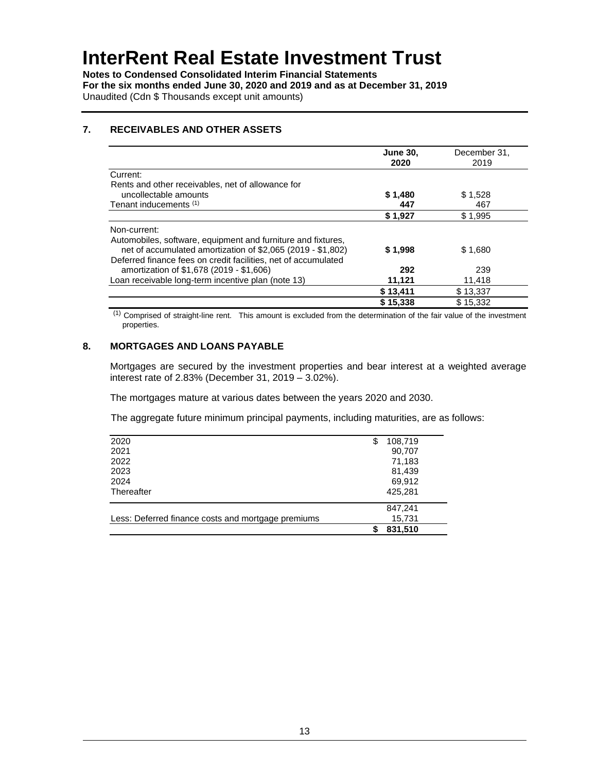**Notes to Condensed Consolidated Interim Financial Statements For the six months ended June 30, 2020 and 2019 and as at December 31, 2019** Unaudited (Cdn \$ Thousands except unit amounts)

### **7. RECEIVABLES AND OTHER ASSETS**

|                                                                | <b>June 30,</b><br>2020 | December 31,<br>2019 |
|----------------------------------------------------------------|-------------------------|----------------------|
| Current:                                                       |                         |                      |
| Rents and other receivables, net of allowance for              |                         |                      |
| uncollectable amounts                                          | \$1,480                 | \$1,528              |
| Tenant inducements (1)                                         | 447                     | 467                  |
|                                                                | \$1,927                 | \$1.995              |
| Non-current:                                                   |                         |                      |
| Automobiles, software, equipment and furniture and fixtures,   |                         |                      |
| net of accumulated amortization of \$2,065 (2019 - \$1,802)    | \$1,998                 | \$1,680              |
| Deferred finance fees on credit facilities, net of accumulated |                         |                      |
| amortization of \$1,678 (2019 - \$1,606)                       | 292                     | 239                  |
| Loan receivable long-term incentive plan (note 13)             | 11,121                  | 11,418               |
|                                                                | \$13,411                | \$13,337             |
|                                                                | \$15,338                | \$15.332             |

(1) Comprised of straight-line rent. This amount is excluded from the determination of the fair value of the investment properties.

### **8. MORTGAGES AND LOANS PAYABLE**

Mortgages are secured by the investment properties and bear interest at a weighted average interest rate of 2.83% (December 31, 2019 – 3.02%).

The mortgages mature at various dates between the years 2020 and 2030.

The aggregate future minimum principal payments, including maturities, are as follows:

|                                                    | 831,510       |  |
|----------------------------------------------------|---------------|--|
| Less: Deferred finance costs and mortgage premiums | 15,731        |  |
|                                                    | 847,241       |  |
| Thereafter                                         | 425,281       |  |
| 2024                                               | 69,912        |  |
| 2023                                               | 81,439        |  |
| 2022                                               | 71,183        |  |
| 2021                                               | 90,707        |  |
| 2020                                               | 108,719<br>\$ |  |
|                                                    |               |  |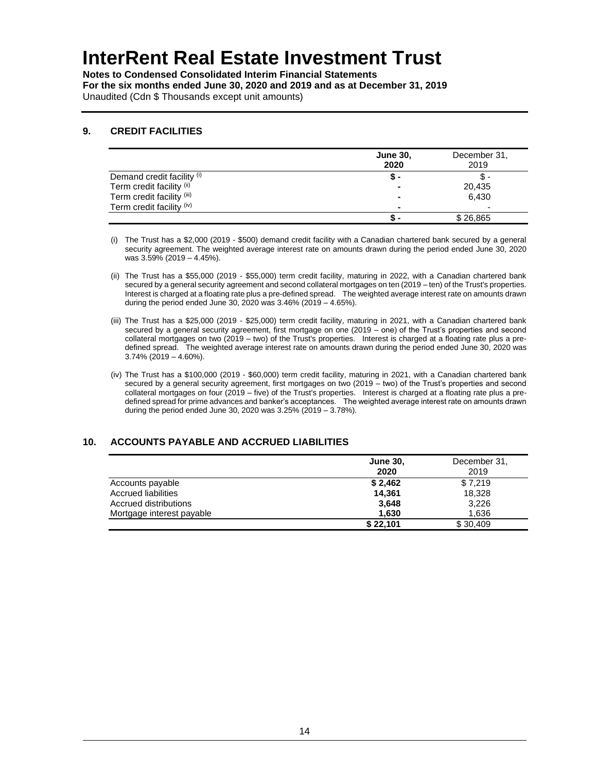**Notes to Condensed Consolidated Interim Financial Statements For the six months ended June 30, 2020 and 2019 and as at December 31, 2019** Unaudited (Cdn \$ Thousands except unit amounts)

### **9. CREDIT FACILITIES**

|                            | <b>June 30,</b><br>2020  | December 31,<br>2019     |
|----------------------------|--------------------------|--------------------------|
| Demand credit facility (i) | - פ                      |                          |
| Term credit facility (ii)  | $\overline{\phantom{a}}$ | 20,435                   |
| Term credit facility (iii) | $\blacksquare$           | 6.430                    |
| Term credit facility (iv)  | $\blacksquare$           | $\overline{\phantom{a}}$ |
|                            |                          | \$26,865                 |

(i) The Trust has a \$2,000 (2019 - \$500) demand credit facility with a Canadian chartered bank secured by a general security agreement. The weighted average interest rate on amounts drawn during the period ended June 30, 2020 was 3.59% (2019 – 4.45%).

- (ii) The Trust has a \$55,000 (2019 \$55,000) term credit facility, maturing in 2022, with a Canadian chartered bank secured by a general security agreement and second collateral mortgages on ten (2019 – ten) of the Trust's properties. Interest is charged at a floating rate plus a pre-defined spread. The weighted average interest rate on amounts drawn during the period ended June 30, 2020 was 3.46% (2019 – 4.65%).
- (iii) The Trust has a \$25,000 (2019 \$25,000) term credit facility, maturing in 2021, with a Canadian chartered bank secured by a general security agreement, first mortgage on one (2019 – one) of the Trust's properties and second collateral mortgages on two (2019 – two) of the Trust's properties. Interest is charged at a floating rate plus a predefined spread. The weighted average interest rate on amounts drawn during the period ended June 30, 2020 was 3.74% (2019 – 4.60%).
- (iv) The Trust has a \$100,000 (2019 \$60,000) term credit facility, maturing in 2021, with a Canadian chartered bank secured by a general security agreement, first mortgages on two (2019 – two) of the Trust's properties and second collateral mortgages on four (2019 – five) of the Trust's properties. Interest is charged at a floating rate plus a predefined spread for prime advances and banker's acceptances. The weighted average interest rate on amounts drawn during the period ended June 30, 2020 was 3.25% (2019 – 3.78%).

### **10. ACCOUNTS PAYABLE AND ACCRUED LIABILITIES**

|                           | <b>June 30,</b> | December 31, |
|---------------------------|-----------------|--------------|
|                           | 2020            | 2019         |
| Accounts payable          | \$2,462         | \$7,219      |
| Accrued liabilities       | 14.361          | 18.328       |
| Accrued distributions     | 3,648           | 3,226        |
| Mortgage interest payable | 1,630           | 1.636        |
|                           | \$22,101        | \$30,409     |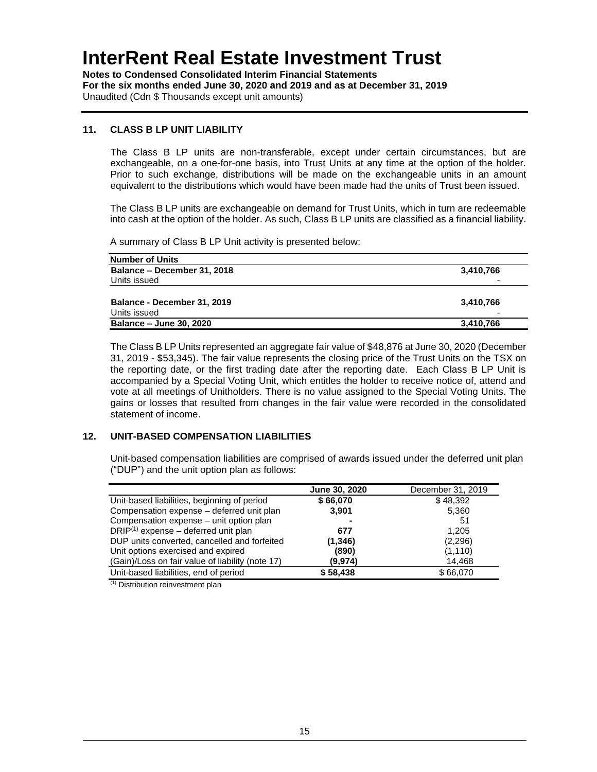**Notes to Condensed Consolidated Interim Financial Statements For the six months ended June 30, 2020 and 2019 and as at December 31, 2019** Unaudited (Cdn \$ Thousands except unit amounts)

### **11. CLASS B LP UNIT LIABILITY**

The Class B LP units are non-transferable, except under certain circumstances, but are exchangeable, on a one-for-one basis, into Trust Units at any time at the option of the holder. Prior to such exchange, distributions will be made on the exchangeable units in an amount equivalent to the distributions which would have been made had the units of Trust been issued.

The Class B LP units are exchangeable on demand for Trust Units, which in turn are redeemable into cash at the option of the holder. As such, Class B LP units are classified as a financial liability.

A summary of Class B LP Unit activity is presented below:

| <b>Number of Units</b>         |                          |
|--------------------------------|--------------------------|
| Balance - December 31, 2018    | 3,410,766                |
| Units issued                   | $\overline{\phantom{0}}$ |
|                                |                          |
| Balance - December 31, 2019    | 3,410,766                |
| Units issued                   |                          |
| <b>Balance - June 30, 2020</b> | 3,410,766                |
|                                |                          |

The Class B LP Units represented an aggregate fair value of \$48,876 at June 30, 2020 (December 31, 2019 - \$53,345). The fair value represents the closing price of the Trust Units on the TSX on the reporting date, or the first trading date after the reporting date. Each Class B LP Unit is accompanied by a Special Voting Unit, which entitles the holder to receive notice of, attend and vote at all meetings of Unitholders. There is no value assigned to the Special Voting Units. The gains or losses that resulted from changes in the fair value were recorded in the consolidated statement of income.

### **12. UNIT-BASED COMPENSATION LIABILITIES**

Unit-based compensation liabilities are comprised of awards issued under the deferred unit plan ("DUP") and the unit option plan as follows:

|                                                  | June 30, 2020 | December 31, 2019 |
|--------------------------------------------------|---------------|-------------------|
| Unit-based liabilities, beginning of period      | \$66,070      | \$48,392          |
| Compensation expense - deferred unit plan        | 3,901         | 5,360             |
| Compensation expense – unit option plan          |               | 51                |
| $DRIP(1)$ expense – deferred unit plan           | 677           | 1.205             |
| DUP units converted, cancelled and forfeited     | (1,346)       | (2,296)           |
| Unit options exercised and expired               | (890)         | (1, 110)          |
| (Gain)/Loss on fair value of liability (note 17) | (9,974)       | 14,468            |
| Unit-based liabilities, end of period            | \$58,438      | \$66,070          |

(1) Distribution reinvestment plan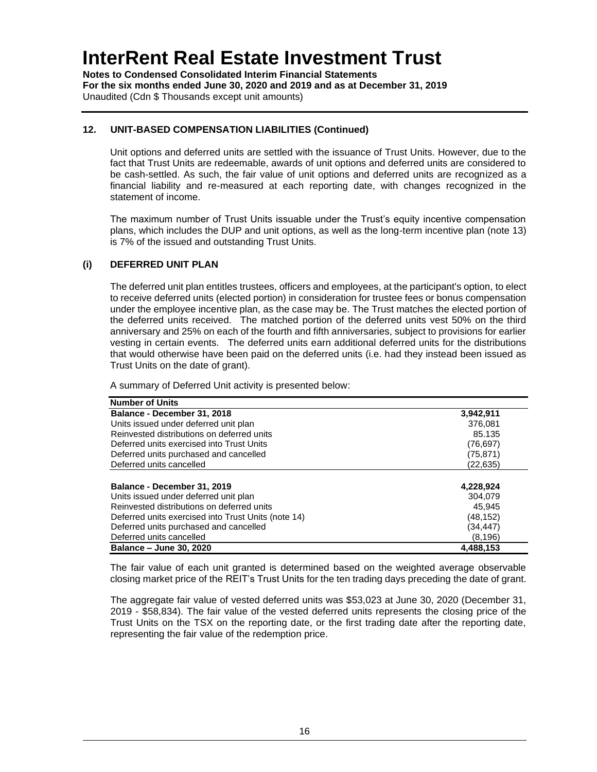**Notes to Condensed Consolidated Interim Financial Statements For the six months ended June 30, 2020 and 2019 and as at December 31, 2019** Unaudited (Cdn \$ Thousands except unit amounts)

### **12. UNIT-BASED COMPENSATION LIABILITIES (Continued)**

Unit options and deferred units are settled with the issuance of Trust Units. However, due to the fact that Trust Units are redeemable, awards of unit options and deferred units are considered to be cash-settled. As such, the fair value of unit options and deferred units are recognized as a financial liability and re-measured at each reporting date, with changes recognized in the statement of income.

The maximum number of Trust Units issuable under the Trust's equity incentive compensation plans, which includes the DUP and unit options, as well as the long-term incentive plan (note 13) is 7% of the issued and outstanding Trust Units.

#### **(i) DEFERRED UNIT PLAN**

The deferred unit plan entitles trustees, officers and employees, at the participant's option, to elect to receive deferred units (elected portion) in consideration for trustee fees or bonus compensation under the employee incentive plan, as the case may be. The Trust matches the elected portion of the deferred units received. The matched portion of the deferred units vest 50% on the third anniversary and 25% on each of the fourth and fifth anniversaries, subject to provisions for earlier vesting in certain events. The deferred units earn additional deferred units for the distributions that would otherwise have been paid on the deferred units (i.e. had they instead been issued as Trust Units on the date of grant).

A summary of Deferred Unit activity is presented below:

| <b>Number of Units</b>                              |           |
|-----------------------------------------------------|-----------|
| Balance - December 31, 2018                         | 3,942,911 |
| Units issued under deferred unit plan               | 376.081   |
| Reinvested distributions on deferred units          | 85.135    |
| Deferred units exercised into Trust Units           | (76, 697) |
| Deferred units purchased and cancelled              | (75, 871) |
| Deferred units cancelled                            | (22,635)  |
|                                                     |           |
| Balance - December 31, 2019                         | 4,228,924 |
| Units issued under deferred unit plan               | 304.079   |
| Reinvested distributions on deferred units          | 45.945    |
| Deferred units exercised into Trust Units (note 14) | (48, 152) |
| Deferred units purchased and cancelled              | (34,447)  |
| Deferred units cancelled                            | (8, 196)  |
| Balance - June 30, 2020                             | 4,488,153 |

The fair value of each unit granted is determined based on the weighted average observable closing market price of the REIT's Trust Units for the ten trading days preceding the date of grant.

The aggregate fair value of vested deferred units was \$53,023 at June 30, 2020 (December 31, 2019 - \$58,834). The fair value of the vested deferred units represents the closing price of the Trust Units on the TSX on the reporting date, or the first trading date after the reporting date, representing the fair value of the redemption price.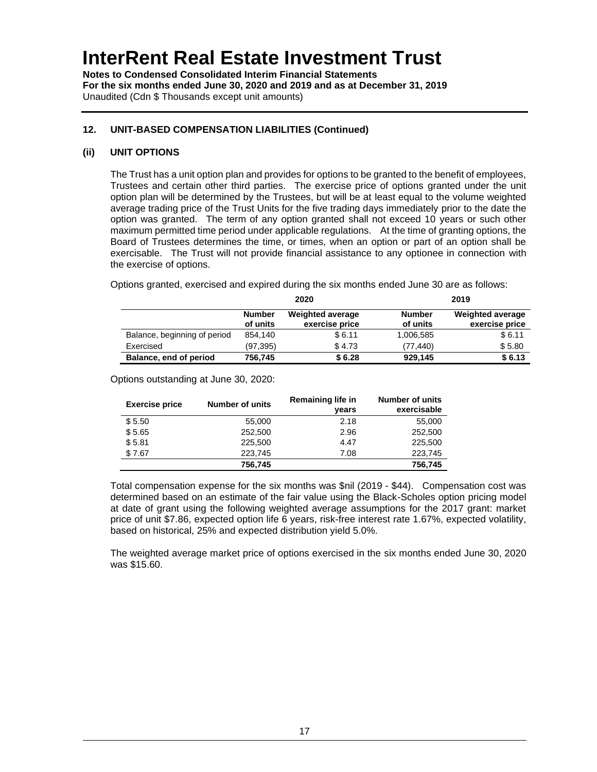**Notes to Condensed Consolidated Interim Financial Statements For the six months ended June 30, 2020 and 2019 and as at December 31, 2019** Unaudited (Cdn \$ Thousands except unit amounts)

### **12. UNIT-BASED COMPENSATION LIABILITIES (Continued)**

#### **(ii) UNIT OPTIONS**

The Trust has a unit option plan and provides for options to be granted to the benefit of employees, Trustees and certain other third parties. The exercise price of options granted under the unit option plan will be determined by the Trustees, but will be at least equal to the volume weighted average trading price of the Trust Units for the five trading days immediately prior to the date the option was granted. The term of any option granted shall not exceed 10 years or such other maximum permitted time period under applicable regulations. At the time of granting options, the Board of Trustees determines the time, or times, when an option or part of an option shall be exercisable. The Trust will not provide financial assistance to any optionee in connection with the exercise of options.

Options granted, exercised and expired during the six months ended June 30 are as follows:

|                              | 2020                      |                                           | 2019                      |                                           |
|------------------------------|---------------------------|-------------------------------------------|---------------------------|-------------------------------------------|
|                              | <b>Number</b><br>of units | <b>Weighted average</b><br>exercise price | <b>Number</b><br>of units | <b>Weighted average</b><br>exercise price |
| Balance, beginning of period | 854.140                   | \$6.11                                    | 1,006,585                 | \$6.11                                    |
| Exercised                    | (97, 395)                 | \$4.73                                    | (77.440)                  | \$5.80                                    |
| Balance, end of period       | 756,745                   | \$6.28                                    | 929,145                   | \$6.13                                    |

Options outstanding at June 30, 2020:

| <b>Exercise price</b> | <b>Number of units</b> | <b>Remaining life in</b><br>vears | <b>Number of units</b><br>exercisable |
|-----------------------|------------------------|-----------------------------------|---------------------------------------|
| \$5.50                | 55,000                 | 2.18                              | 55,000                                |
| \$5.65                | 252,500                | 2.96                              | 252,500                               |
| \$5.81                | 225,500                | 4.47                              | 225,500                               |
| \$7.67                | 223,745                | 7.08                              | 223,745                               |
|                       | 756,745                |                                   | 756,745                               |

Total compensation expense for the six months was \$nil (2019 - \$44). Compensation cost was determined based on an estimate of the fair value using the Black-Scholes option pricing model at date of grant using the following weighted average assumptions for the 2017 grant: market price of unit \$7.86, expected option life 6 years, risk-free interest rate 1.67%, expected volatility, based on historical, 25% and expected distribution yield 5.0%.

The weighted average market price of options exercised in the six months ended June 30, 2020 was \$15.60.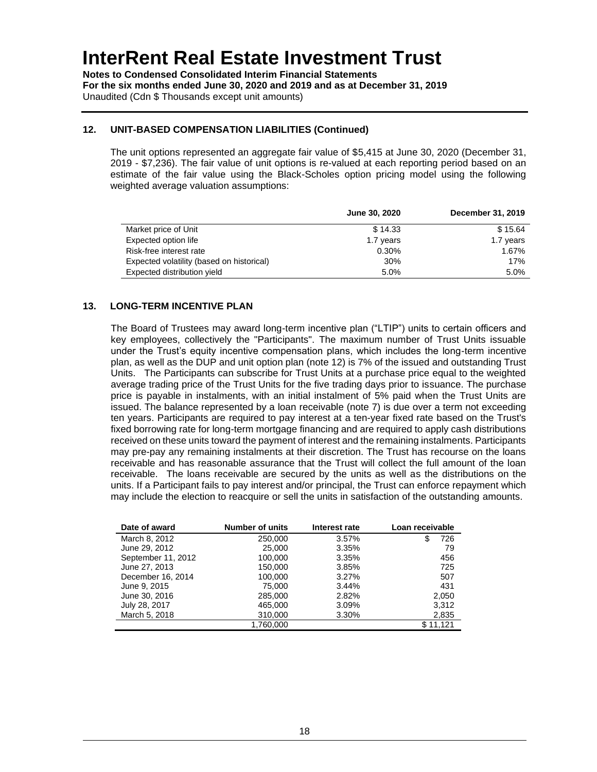**Notes to Condensed Consolidated Interim Financial Statements For the six months ended June 30, 2020 and 2019 and as at December 31, 2019** Unaudited (Cdn \$ Thousands except unit amounts)

### **12. UNIT-BASED COMPENSATION LIABILITIES (Continued)**

The unit options represented an aggregate fair value of \$5,415 at June 30, 2020 (December 31, 2019 - \$7,236). The fair value of unit options is re-valued at each reporting period based on an estimate of the fair value using the Black-Scholes option pricing model using the following weighted average valuation assumptions:

|                                           | June 30, 2020 | December 31, 2019 |
|-------------------------------------------|---------------|-------------------|
| Market price of Unit                      | \$14.33       | \$15.64           |
| Expected option life                      | 1.7 years     | 1.7 years         |
| Risk-free interest rate                   | 0.30%         | 1.67%             |
| Expected volatility (based on historical) | 30%           | 17%               |
| Expected distribution yield               | 5.0%          | 5.0%              |

### **13. LONG-TERM INCENTIVE PLAN**

The Board of Trustees may award long-term incentive plan ("LTIP") units to certain officers and key employees, collectively the "Participants". The maximum number of Trust Units issuable under the Trust's equity incentive compensation plans, which includes the long-term incentive plan, as well as the DUP and unit option plan (note 12) is 7% of the issued and outstanding Trust Units. The Participants can subscribe for Trust Units at a purchase price equal to the weighted average trading price of the Trust Units for the five trading days prior to issuance. The purchase price is payable in instalments, with an initial instalment of 5% paid when the Trust Units are issued. The balance represented by a loan receivable (note 7) is due over a term not exceeding ten years. Participants are required to pay interest at a ten-year fixed rate based on the Trust's fixed borrowing rate for long-term mortgage financing and are required to apply cash distributions received on these units toward the payment of interest and the remaining instalments. Participants may pre-pay any remaining instalments at their discretion. The Trust has recourse on the loans receivable and has reasonable assurance that the Trust will collect the full amount of the loan receivable. The loans receivable are secured by the units as well as the distributions on the units. If a Participant fails to pay interest and/or principal, the Trust can enforce repayment which may include the election to reacquire or sell the units in satisfaction of the outstanding amounts.

| Date of award      | <b>Number of units</b> | Loan receivable<br>Interest rate |          |
|--------------------|------------------------|----------------------------------|----------|
| March 8, 2012      | 250,000                | 3.57%                            | 726      |
| June 29, 2012      | 25,000                 | 3.35%                            | 79       |
| September 11, 2012 | 100,000                | 3.35%                            | 456      |
| June 27, 2013      | 150,000                | 3.85%                            | 725      |
| December 16, 2014  | 100,000                | 3.27%                            | 507      |
| June 9, 2015       | 75,000                 | 3.44%                            | 431      |
| June 30, 2016      | 285,000                | 2.82%                            | 2,050    |
| July 28, 2017      | 465,000                | 3.09%                            | 3,312    |
| March 5, 2018      | 310,000                | 3.30%                            | 2,835    |
|                    | 1,760,000              |                                  | \$11,121 |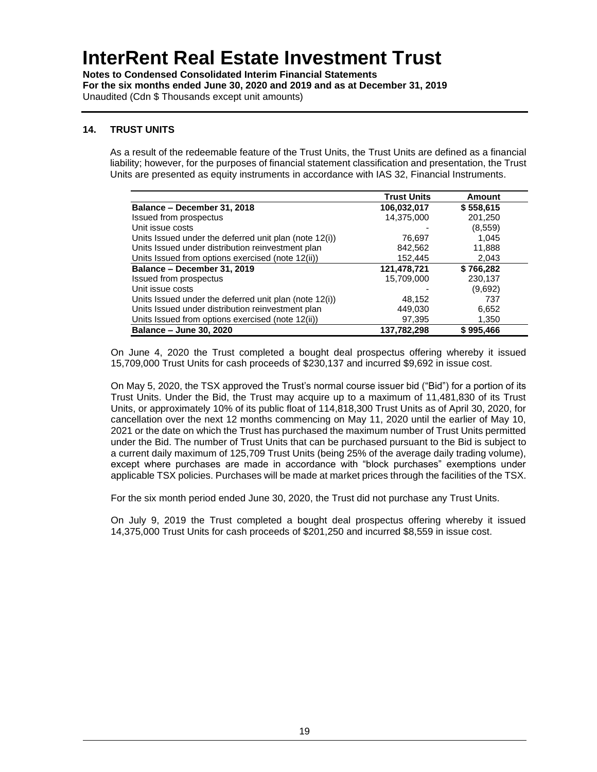**Notes to Condensed Consolidated Interim Financial Statements For the six months ended June 30, 2020 and 2019 and as at December 31, 2019** Unaudited (Cdn \$ Thousands except unit amounts)

### **14. TRUST UNITS**

As a result of the redeemable feature of the Trust Units, the Trust Units are defined as a financial liability; however, for the purposes of financial statement classification and presentation, the Trust Units are presented as equity instruments in accordance with IAS 32, Financial Instruments.

|                                                        | <b>Trust Units</b> | Amount    |
|--------------------------------------------------------|--------------------|-----------|
| Balance - December 31, 2018                            | 106,032,017        | \$558,615 |
| Issued from prospectus                                 | 14,375,000         | 201,250   |
| Unit issue costs                                       |                    | (8,559)   |
| Units Issued under the deferred unit plan (note 12(i)) | 76.697             | 1,045     |
| Units Issued under distribution reinvestment plan      | 842.562            | 11,888    |
| Units Issued from options exercised (note 12(ii))      | 152.445            | 2,043     |
| Balance - December 31, 2019                            | 121,478,721        | \$766,282 |
| Issued from prospectus                                 | 15,709,000         | 230,137   |
| Unit issue costs                                       |                    | (9,692)   |
| Units Issued under the deferred unit plan (note 12(i)) | 48.152             | 737       |
| Units Issued under distribution reinvestment plan      | 449,030            | 6,652     |
| Units Issued from options exercised (note 12(ii))      | 97.395             | 1,350     |
| Balance - June 30, 2020                                | 137.782.298        | \$995,466 |

On June 4, 2020 the Trust completed a bought deal prospectus offering whereby it issued 15,709,000 Trust Units for cash proceeds of \$230,137 and incurred \$9,692 in issue cost.

On May 5, 2020, the TSX approved the Trust's normal course issuer bid ("Bid") for a portion of its Trust Units. Under the Bid, the Trust may acquire up to a maximum of 11,481,830 of its Trust Units, or approximately 10% of its public float of 114,818,300 Trust Units as of April 30, 2020, for cancellation over the next 12 months commencing on May 11, 2020 until the earlier of May 10, 2021 or the date on which the Trust has purchased the maximum number of Trust Units permitted under the Bid. The number of Trust Units that can be purchased pursuant to the Bid is subject to a current daily maximum of 125,709 Trust Units (being 25% of the average daily trading volume), except where purchases are made in accordance with "block purchases" exemptions under applicable TSX policies. Purchases will be made at market prices through the facilities of the TSX.

For the six month period ended June 30, 2020, the Trust did not purchase any Trust Units.

On July 9, 2019 the Trust completed a bought deal prospectus offering whereby it issued 14,375,000 Trust Units for cash proceeds of \$201,250 and incurred \$8,559 in issue cost.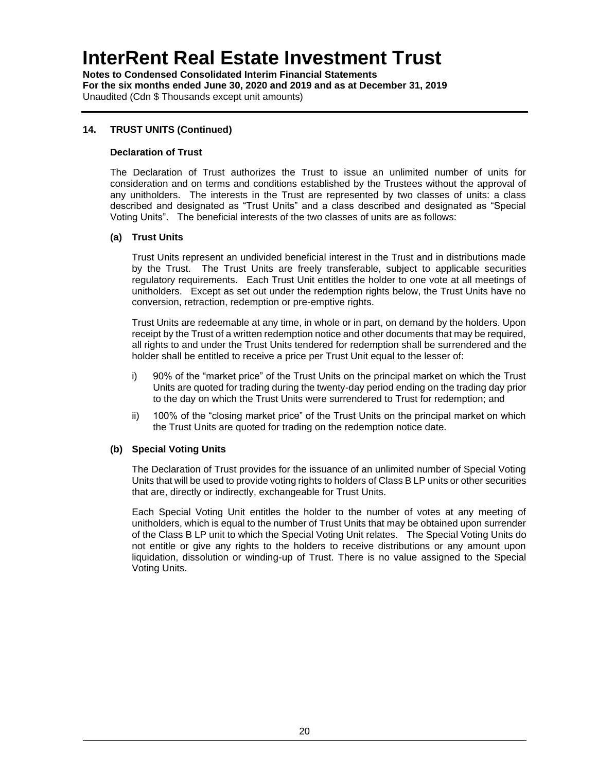**Notes to Condensed Consolidated Interim Financial Statements For the six months ended June 30, 2020 and 2019 and as at December 31, 2019** Unaudited (Cdn \$ Thousands except unit amounts)

### **14. TRUST UNITS (Continued)**

#### **Declaration of Trust**

The Declaration of Trust authorizes the Trust to issue an unlimited number of units for consideration and on terms and conditions established by the Trustees without the approval of any unitholders. The interests in the Trust are represented by two classes of units: a class described and designated as "Trust Units" and a class described and designated as "Special Voting Units". The beneficial interests of the two classes of units are as follows:

#### **(a) Trust Units**

Trust Units represent an undivided beneficial interest in the Trust and in distributions made by the Trust. The Trust Units are freely transferable, subject to applicable securities regulatory requirements. Each Trust Unit entitles the holder to one vote at all meetings of unitholders. Except as set out under the redemption rights below, the Trust Units have no conversion, retraction, redemption or pre-emptive rights.

Trust Units are redeemable at any time, in whole or in part, on demand by the holders. Upon receipt by the Trust of a written redemption notice and other documents that may be required, all rights to and under the Trust Units tendered for redemption shall be surrendered and the holder shall be entitled to receive a price per Trust Unit equal to the lesser of:

- i) 90% of the "market price" of the Trust Units on the principal market on which the Trust Units are quoted for trading during the twenty-day period ending on the trading day prior to the day on which the Trust Units were surrendered to Trust for redemption; and
- ii) 100% of the "closing market price" of the Trust Units on the principal market on which the Trust Units are quoted for trading on the redemption notice date.

#### **(b) Special Voting Units**

The Declaration of Trust provides for the issuance of an unlimited number of Special Voting Units that will be used to provide voting rights to holders of Class B LP units or other securities that are, directly or indirectly, exchangeable for Trust Units.

Each Special Voting Unit entitles the holder to the number of votes at any meeting of unitholders, which is equal to the number of Trust Units that may be obtained upon surrender of the Class B LP unit to which the Special Voting Unit relates. The Special Voting Units do not entitle or give any rights to the holders to receive distributions or any amount upon liquidation, dissolution or winding-up of Trust. There is no value assigned to the Special Voting Units.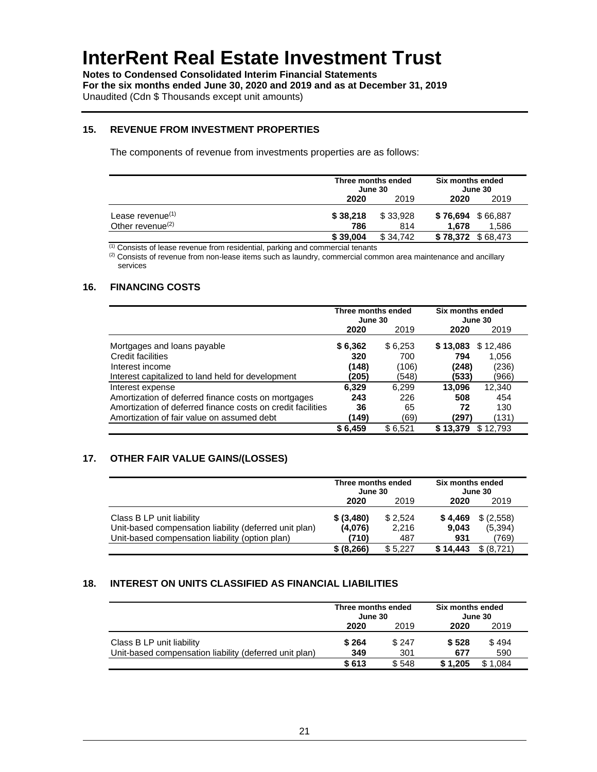**Notes to Condensed Consolidated Interim Financial Statements For the six months ended June 30, 2020 and 2019 and as at December 31, 2019** Unaudited (Cdn \$ Thousands except unit amounts)

#### **15. REVENUE FROM INVESTMENT PROPERTIES**

The components of revenue from investments properties are as follows:

|                              | Three months ended<br>June 30 |          | Six months ended<br>June 30 |       |
|------------------------------|-------------------------------|----------|-----------------------------|-------|
|                              | 2020                          | 2019     | 2020                        | 2019  |
| Lease revenue $(1)$          | \$38,218                      | \$33.928 | \$76,694 \$66,887           |       |
| Other revenue <sup>(2)</sup> | 786                           | 814      | 1.678                       | 1,586 |
|                              | \$39,004                      | \$34.742 | \$78,372 \$68,473           |       |

 $(1)$  Consists of lease revenue from residential, parking and commercial tenants

(2) Consists of revenue from non-lease items such as laundry, commercial common area maintenance and ancillary services

### **16. FINANCING COSTS**

|                                                             | Three months ended<br>June 30 |         | Six months ended<br>June 30 |
|-------------------------------------------------------------|-------------------------------|---------|-----------------------------|
|                                                             | 2020                          | 2019    | 2019<br>2020                |
| Mortgages and loans payable                                 | \$6,362                       | \$6,253 | \$12,486<br>\$13,083        |
| Credit facilities                                           | 320                           | 700     | 1,056<br>794                |
| Interest income                                             | (148)                         | (106)   | (236)<br>(248)              |
| Interest capitalized to land held for development           | (205)                         | (548)   | (966)<br>(533)              |
| Interest expense                                            | 6.329                         | 6.299   | 13.096<br>12,340            |
| Amortization of deferred finance costs on mortgages         | 243                           | 226     | 454<br>508                  |
| Amortization of deferred finance costs on credit facilities | 36                            | 65      | 72<br>130                   |
| Amortization of fair value on assumed debt                  | (149)                         | (69)    | (131)<br>(297)              |
|                                                             | \$6,459                       | \$6.521 | \$13.379<br>\$12.793        |

### **17. OTHER FAIR VALUE GAINS/(LOSSES)**

|                                                        | Three months ended<br>June 30 |         | Six months ended<br>June 30 |            |
|--------------------------------------------------------|-------------------------------|---------|-----------------------------|------------|
|                                                        | 2020                          | 2019    | 2020                        | 2019       |
| Class B LP unit liability                              | \$ (3,480)                    | \$2,524 | \$4,469                     | \$(2,558)  |
| Unit-based compensation liability (deferred unit plan) | (4,076)                       | 2.216   | 9.043                       | (5,394)    |
| Unit-based compensation liability (option plan)        | (710)                         | 487     | 931                         | (769)      |
|                                                        | \$ (8, 266)                   | \$5.227 | \$14.443                    | \$ (8.721) |

#### **18. INTEREST ON UNITS CLASSIFIED AS FINANCIAL LIABILITIES**

|                                                        | Three months ended<br>June 30 |       | Six months ended<br>June 30 |       |
|--------------------------------------------------------|-------------------------------|-------|-----------------------------|-------|
|                                                        | 2020                          | 2019  | 2020                        | 2019  |
| Class B LP unit liability                              | \$264                         | \$247 | \$528                       | \$494 |
| Unit-based compensation liability (deferred unit plan) | 349                           | 301   | 677                         | 590   |
|                                                        | \$613                         | \$548 | \$1.205                     | 1.084 |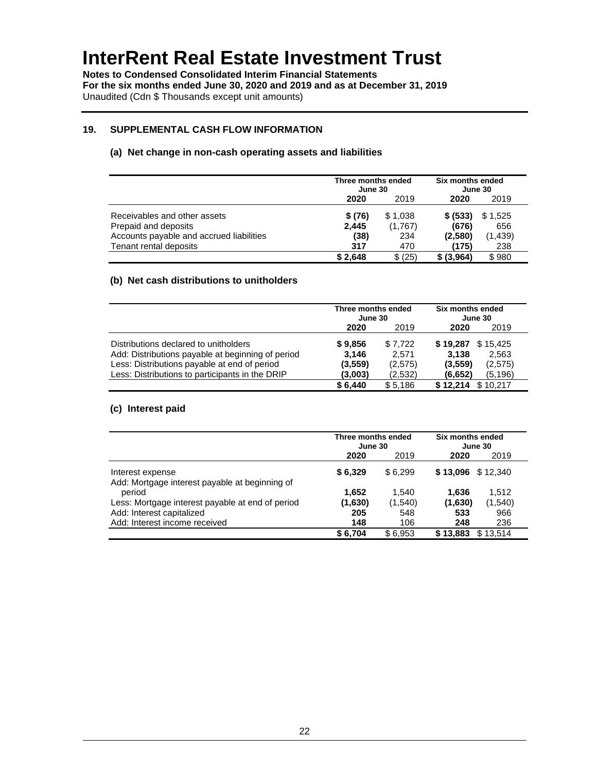**Notes to Condensed Consolidated Interim Financial Statements For the six months ended June 30, 2020 and 2019 and as at December 31, 2019** Unaudited (Cdn \$ Thousands except unit amounts)

#### **19. SUPPLEMENTAL CASH FLOW INFORMATION**

#### **(a) Net change in non-cash operating assets and liabilities**

|                                          | Three months ended<br>June 30 |         | Six months ended<br>June 30 |         |
|------------------------------------------|-------------------------------|---------|-----------------------------|---------|
|                                          | 2020                          | 2019    | 2020                        | 2019    |
| Receivables and other assets             | \$(76)                        | \$1,038 | \$ (533)                    | \$1,525 |
| Prepaid and deposits                     | 2,445                         | (1,767) | (676)                       | 656     |
| Accounts payable and accrued liabilities | (38)                          | 234     | (2,580)                     | (1,439) |
| Tenant rental deposits                   | 317                           | 470     | (175)                       | 238     |
|                                          | \$2,648                       | \$ (25) | \$ (3,964)                  | \$980   |

#### **(b) Net cash distributions to unitholders**

|                                                   | Three months ended<br>June 30 |         | Six months ended<br>June 30 |  |
|---------------------------------------------------|-------------------------------|---------|-----------------------------|--|
|                                                   | 2020                          | 2019    | 2020<br>2019                |  |
| Distributions declared to unitholders             | \$9,856                       | \$7.722 | \$19,287<br>\$15,425        |  |
| Add: Distributions payable at beginning of period | 3,146                         | 2.571   | 3.138<br>2,563              |  |
| Less: Distributions payable at end of period      | (3, 559)                      | (2,575) | (3,559)<br>(2,575)          |  |
| Less: Distributions to participants in the DRIP   | (3,003)                       | (2,532) | (5.196)<br>(6,652)          |  |
|                                                   | \$6,440                       | \$5,186 | \$12.214<br>\$10.217        |  |

#### **(c) Interest paid**

|                                                                    | Three months ended<br>June 30 |         | Six months ended<br>June 30 |  |
|--------------------------------------------------------------------|-------------------------------|---------|-----------------------------|--|
|                                                                    | 2020                          | 2019    | 2020<br>2019                |  |
| Interest expense<br>Add: Mortgage interest payable at beginning of | \$6,329                       | \$6.299 | \$12,340<br>\$13,096        |  |
| period                                                             | 1,652                         | 1.540   | 1.636<br>1,512              |  |
| Less: Mortgage interest payable at end of period                   | (1,630)                       | (1,540) | (1, 540)<br>(1,630)         |  |
| Add: Interest capitalized                                          | 205                           | 548     | 533<br>966                  |  |
| Add: Interest income received                                      | 148                           | 106     | 236<br>248                  |  |
|                                                                    | \$6,704                       | \$6.953 | \$13.514<br>\$13,883        |  |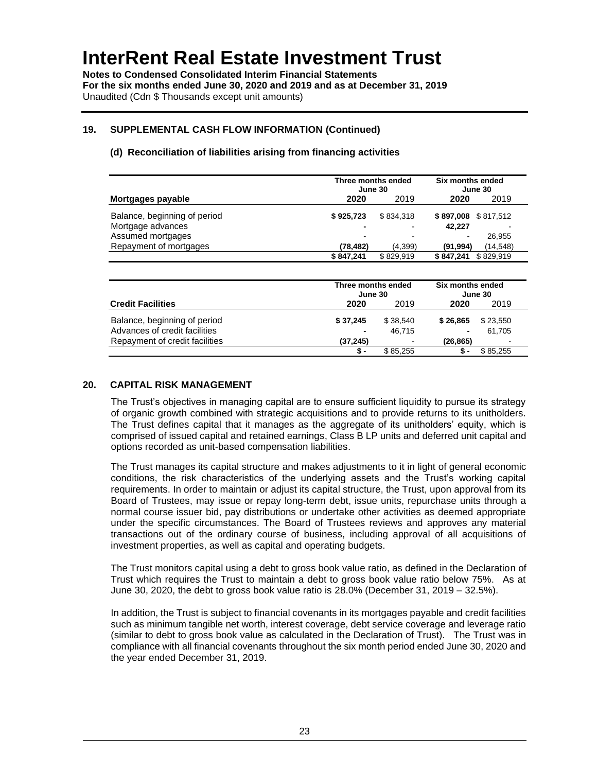**Notes to Condensed Consolidated Interim Financial Statements For the six months ended June 30, 2020 and 2019 and as at December 31, 2019** Unaudited (Cdn \$ Thousands except unit amounts)

### **19. SUPPLEMENTAL CASH FLOW INFORMATION (Continued)**

| Three months ended<br>June 30  |           | Six months ended<br>June 30   |           |                             |  |
|--------------------------------|-----------|-------------------------------|-----------|-----------------------------|--|
| Mortgages payable              | 2020      | 2019                          | 2020      | 2019                        |  |
| Balance, beginning of period   | \$925,723 | \$834,318                     | \$897,008 | \$817.512                   |  |
| Mortgage advances              |           |                               | 42,227    |                             |  |
| Assumed mortgages              |           |                               |           | 26,955                      |  |
| Repayment of mortgages         | (78, 482) | (4.399)                       | (91, 994) | (14,548)                    |  |
|                                | \$847,241 | \$829,919                     | \$847,241 | \$829,919                   |  |
|                                |           | Three months ended<br>June 30 |           | Six months ended<br>June 30 |  |
| <b>Credit Facilities</b>       | 2020      | 2019                          | 2020      | 2019                        |  |
| Balance, beginning of period   | \$37,245  | \$38,540                      | \$26,865  | \$23,550                    |  |
| Advances of credit facilities  |           | 46,715                        |           | 61,705                      |  |
| Repayment of credit facilities | (37, 245) |                               | (26, 865) |                             |  |
|                                | \$ -      | \$85,255                      | \$-       | \$85,255                    |  |

### **(d) Reconciliation of liabilities arising from financing activities**

#### **20. CAPITAL RISK MANAGEMENT**

The Trust's objectives in managing capital are to ensure sufficient liquidity to pursue its strategy of organic growth combined with strategic acquisitions and to provide returns to its unitholders. The Trust defines capital that it manages as the aggregate of its unitholders' equity, which is comprised of issued capital and retained earnings, Class B LP units and deferred unit capital and options recorded as unit-based compensation liabilities.

The Trust manages its capital structure and makes adjustments to it in light of general economic conditions, the risk characteristics of the underlying assets and the Trust's working capital requirements. In order to maintain or adjust its capital structure, the Trust, upon approval from its Board of Trustees, may issue or repay long-term debt, issue units, repurchase units through a normal course issuer bid, pay distributions or undertake other activities as deemed appropriate under the specific circumstances. The Board of Trustees reviews and approves any material transactions out of the ordinary course of business, including approval of all acquisitions of investment properties, as well as capital and operating budgets.

The Trust monitors capital using a debt to gross book value ratio, as defined in the Declaration of Trust which requires the Trust to maintain a debt to gross book value ratio below 75%. As at June 30, 2020, the debt to gross book value ratio is 28.0% (December 31, 2019 – 32.5%).

In addition, the Trust is subject to financial covenants in its mortgages payable and credit facilities such as minimum tangible net worth, interest coverage, debt service coverage and leverage ratio (similar to debt to gross book value as calculated in the Declaration of Trust). The Trust was in compliance with all financial covenants throughout the six month period ended June 30, 2020 and the year ended December 31, 2019.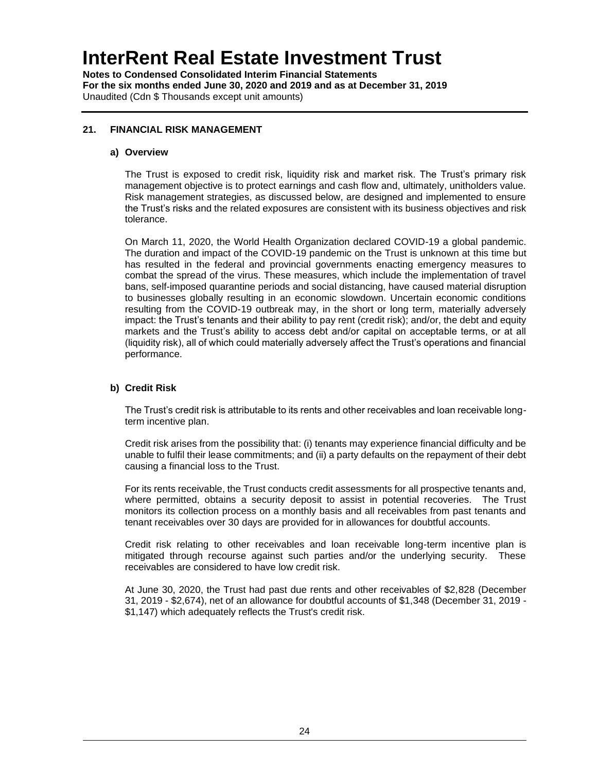**Notes to Condensed Consolidated Interim Financial Statements For the six months ended June 30, 2020 and 2019 and as at December 31, 2019** Unaudited (Cdn \$ Thousands except unit amounts)

### **21. FINANCIAL RISK MANAGEMENT**

#### **a) Overview**

The Trust is exposed to credit risk, liquidity risk and market risk. The Trust's primary risk management objective is to protect earnings and cash flow and, ultimately, unitholders value. Risk management strategies, as discussed below, are designed and implemented to ensure the Trust's risks and the related exposures are consistent with its business objectives and risk tolerance.

On March 11, 2020, the World Health Organization declared COVID-19 a global pandemic. The duration and impact of the COVID-19 pandemic on the Trust is unknown at this time but has resulted in the federal and provincial governments enacting emergency measures to combat the spread of the virus. These measures, which include the implementation of travel bans, self-imposed quarantine periods and social distancing, have caused material disruption to businesses globally resulting in an economic slowdown. Uncertain economic conditions resulting from the COVID-19 outbreak may, in the short or long term, materially adversely impact: the Trust's tenants and their ability to pay rent (credit risk); and/or, the debt and equity markets and the Trust's ability to access debt and/or capital on acceptable terms, or at all (liquidity risk), all of which could materially adversely affect the Trust's operations and financial performance.

### **b) Credit Risk**

The Trust's credit risk is attributable to its rents and other receivables and loan receivable longterm incentive plan.

Credit risk arises from the possibility that: (i) tenants may experience financial difficulty and be unable to fulfil their lease commitments; and (ii) a party defaults on the repayment of their debt causing a financial loss to the Trust.

For its rents receivable, the Trust conducts credit assessments for all prospective tenants and, where permitted, obtains a security deposit to assist in potential recoveries. The Trust monitors its collection process on a monthly basis and all receivables from past tenants and tenant receivables over 30 days are provided for in allowances for doubtful accounts.

Credit risk relating to other receivables and loan receivable long-term incentive plan is mitigated through recourse against such parties and/or the underlying security. These receivables are considered to have low credit risk.

At June 30, 2020, the Trust had past due rents and other receivables of \$2,828 (December 31, 2019 - \$2,674), net of an allowance for doubtful accounts of \$1,348 (December 31, 2019 - \$1,147) which adequately reflects the Trust's credit risk.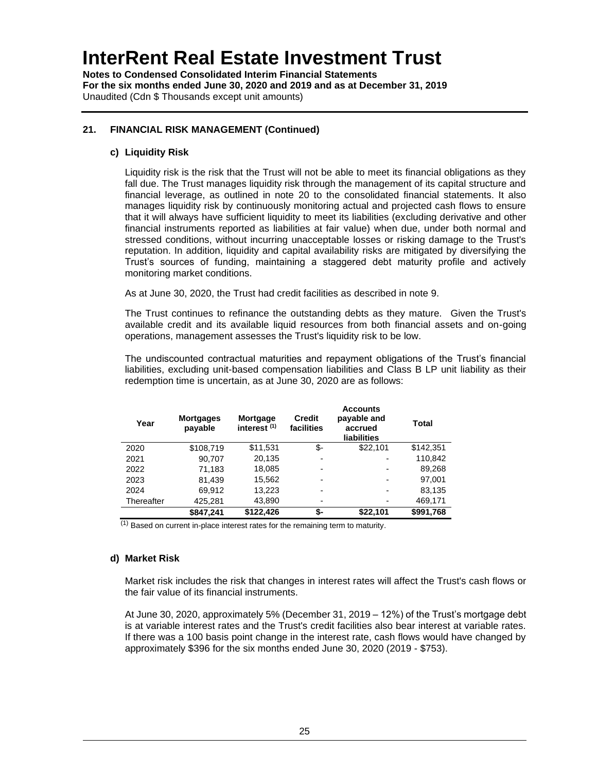**Notes to Condensed Consolidated Interim Financial Statements For the six months ended June 30, 2020 and 2019 and as at December 31, 2019** Unaudited (Cdn \$ Thousands except unit amounts)

### **21. FINANCIAL RISK MANAGEMENT (Continued)**

#### **c) Liquidity Risk**

Liquidity risk is the risk that the Trust will not be able to meet its financial obligations as they fall due. The Trust manages liquidity risk through the management of its capital structure and financial leverage, as outlined in note 20 to the consolidated financial statements. It also manages liquidity risk by continuously monitoring actual and projected cash flows to ensure that it will always have sufficient liquidity to meet its liabilities (excluding derivative and other financial instruments reported as liabilities at fair value) when due, under both normal and stressed conditions, without incurring unacceptable losses or risking damage to the Trust's reputation. In addition, liquidity and capital availability risks are mitigated by diversifying the Trust's sources of funding, maintaining a staggered debt maturity profile and actively monitoring market conditions.

As at June 30, 2020, the Trust had credit facilities as described in note 9.

The Trust continues to refinance the outstanding debts as they mature. Given the Trust's available credit and its available liquid resources from both financial assets and on-going operations, management assesses the Trust's liquidity risk to be low.

The undiscounted contractual maturities and repayment obligations of the Trust's financial liabilities, excluding unit-based compensation liabilities and Class B LP unit liability as their redemption time is uncertain, as at June 30, 2020 are as follows:

| Year       | <b>Mortgages</b><br>payable | Mortgage<br>interest <sup>(1)</sup> | <b>Credit</b><br>facilities | <b>Accounts</b><br>payable and<br>accrued<br><b>liabilities</b> | Total     |
|------------|-----------------------------|-------------------------------------|-----------------------------|-----------------------------------------------------------------|-----------|
| 2020       | \$108,719                   | \$11,531                            | \$-                         | \$22,101                                                        | \$142,351 |
| 2021       | 90,707                      | 20,135                              | $\overline{\phantom{0}}$    | $\overline{\phantom{0}}$                                        | 110,842   |
| 2022       | 71,183                      | 18,085                              | -                           | -                                                               | 89,268    |
| 2023       | 81,439                      | 15,562                              | $\overline{\phantom{0}}$    | -                                                               | 97,001    |
| 2024       | 69,912                      | 13,223                              | -                           | -                                                               | 83,135    |
| Thereafter | 425,281                     | 43,890                              | $\blacksquare$              | -                                                               | 469,171   |
|            | \$847.241                   | \$122.426                           | \$-                         | \$22,101                                                        | \$991,768 |

 $(1)$  Based on current in-place interest rates for the remaining term to maturity.

### **d) Market Risk**

Market risk includes the risk that changes in interest rates will affect the Trust's cash flows or the fair value of its financial instruments.

At June 30, 2020, approximately 5% (December 31, 2019 – 12%) of the Trust's mortgage debt is at variable interest rates and the Trust's credit facilities also bear interest at variable rates. If there was a 100 basis point change in the interest rate, cash flows would have changed by approximately \$396 for the six months ended June 30, 2020 (2019 - \$753).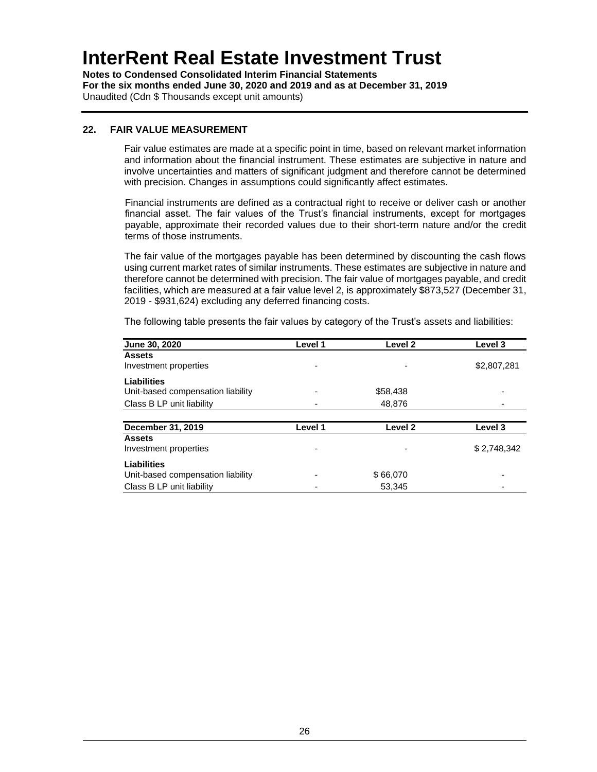**Notes to Condensed Consolidated Interim Financial Statements For the six months ended June 30, 2020 and 2019 and as at December 31, 2019** Unaudited (Cdn \$ Thousands except unit amounts)

#### **22. FAIR VALUE MEASUREMENT**

Fair value estimates are made at a specific point in time, based on relevant market information and information about the financial instrument. These estimates are subjective in nature and involve uncertainties and matters of significant judgment and therefore cannot be determined with precision. Changes in assumptions could significantly affect estimates.

Financial instruments are defined as a contractual right to receive or deliver cash or another financial asset. The fair values of the Trust's financial instruments, except for mortgages payable, approximate their recorded values due to their short-term nature and/or the credit terms of those instruments.

The fair value of the mortgages payable has been determined by discounting the cash flows using current market rates of similar instruments. These estimates are subjective in nature and therefore cannot be determined with precision. The fair value of mortgages payable, and credit facilities, which are measured at a fair value level 2, is approximately \$873,527 (December 31, 2019 - \$931,624) excluding any deferred financing costs.

| <b>June 30, 2020</b>              | Level 1 | Level <sub>2</sub> | Level 3     |
|-----------------------------------|---------|--------------------|-------------|
| <b>Assets</b>                     |         |                    |             |
| Investment properties             |         |                    | \$2,807,281 |
| <b>Liabilities</b>                |         |                    |             |
| Unit-based compensation liability |         | \$58,438           |             |
| Class B LP unit liability         |         | 48,876             |             |
|                                   |         |                    |             |
| December 31, 2019                 | Level 1 | Level <sub>2</sub> | Level 3     |
| <b>Assets</b>                     |         |                    |             |
| Investment properties             |         | ٠                  | \$2,748,342 |
| Liabilities                       |         |                    |             |
| Unit-based compensation liability |         | \$66,070           |             |
| Class B LP unit liability         |         | 53,345             |             |